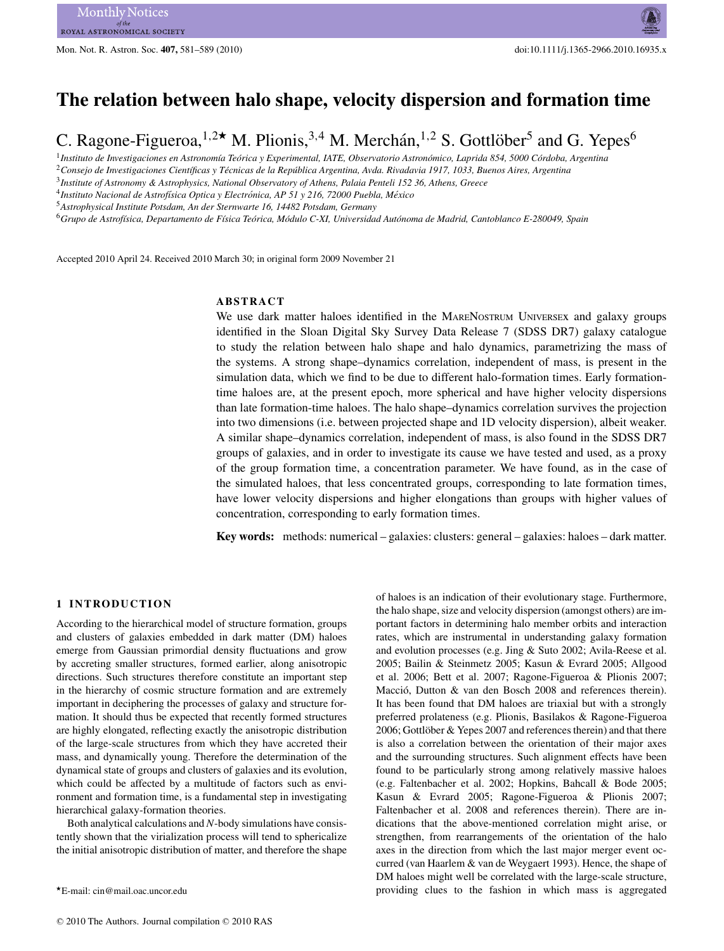# **The relation between halo shape, velocity dispersion and formation time**

C. Ragone-Figueroa,<sup>1,2\*</sup> M. Plionis,<sup>3,4</sup> M. Merchán,<sup>1,2</sup> S. Gottlöber<sup>5</sup> and G. Yepes<sup>6</sup>

<sup>1</sup>*Instituto de Investigaciones en Astronom´ıa Teorica y Experimental, IATE, Observatorio Astron ´ omico, Laprida 854, 5000 C ´ ordoba, Argentina ´*

<sup>2</sup>*Consejo de Investigaciones Cient´ıficas y Tecnicas de la Rep ´ ublica Argentina, Avda. Rivadavia 1917, 1033, Buenos Aires, Argentina ´*

<sup>3</sup>*Institute of Astronomy & Astrophysics, National Observatory of Athens, Palaia Penteli 152 36, Athens, Greece*

<sup>4</sup>*Instituto Nacional de Astrof´ısica Optica y Electronica, AP 51 y 216, 72000 Puebla, M ´ exico ´*

<sup>5</sup>*Astrophysical Institute Potsdam, An der Sternwarte 16, 14482 Potsdam, Germany*

<sup>6</sup>*Grupo de Astrof´ısica, Departamento de F´ısica Teorica, M ´ odulo C-XI, Universidad Aut ´ onoma de Madrid, Cantoblanco E-280049, Spain ´*

Accepted 2010 April 24. Received 2010 March 30; in original form 2009 November 21

## **ABSTRACT**

We use dark matter haloes identified in the MARENOSTRUM UNIVERSEX and galaxy groups identified in the Sloan Digital Sky Survey Data Release 7 (SDSS DR7) galaxy catalogue to study the relation between halo shape and halo dynamics, parametrizing the mass of the systems. A strong shape–dynamics correlation, independent of mass, is present in the simulation data, which we find to be due to different halo-formation times. Early formationtime haloes are, at the present epoch, more spherical and have higher velocity dispersions than late formation-time haloes. The halo shape–dynamics correlation survives the projection into two dimensions (i.e. between projected shape and 1D velocity dispersion), albeit weaker. A similar shape–dynamics correlation, independent of mass, is also found in the SDSS DR7 groups of galaxies, and in order to investigate its cause we have tested and used, as a proxy of the group formation time, a concentration parameter. We have found, as in the case of the simulated haloes, that less concentrated groups, corresponding to late formation times, have lower velocity dispersions and higher elongations than groups with higher values of concentration, corresponding to early formation times.

**Key words:** methods: numerical – galaxies: clusters: general – galaxies: haloes – dark matter.

#### **1 INTRODUCTION**

According to the hierarchical model of structure formation, groups and clusters of galaxies embedded in dark matter (DM) haloes emerge from Gaussian primordial density fluctuations and grow by accreting smaller structures, formed earlier, along anisotropic directions. Such structures therefore constitute an important step in the hierarchy of cosmic structure formation and are extremely important in deciphering the processes of galaxy and structure formation. It should thus be expected that recently formed structures are highly elongated, reflecting exactly the anisotropic distribution of the large-scale structures from which they have accreted their mass, and dynamically young. Therefore the determination of the dynamical state of groups and clusters of galaxies and its evolution, which could be affected by a multitude of factors such as environment and formation time, is a fundamental step in investigating hierarchical galaxy-formation theories.

Both analytical calculations and *N*-body simulations have consistently shown that the virialization process will tend to sphericalize the initial anisotropic distribution of matter, and therefore the shape of haloes is an indication of their evolutionary stage. Furthermore, the halo shape, size and velocity dispersion (amongst others) are important factors in determining halo member orbits and interaction rates, which are instrumental in understanding galaxy formation and evolution processes (e.g. Jing & Suto 2002; Avila-Reese et al. 2005; Bailin & Steinmetz 2005; Kasun & Evrard 2005; Allgood et al. 2006; Bett et al. 2007; Ragone-Figueroa & Plionis 2007; Macció, Dutton & van den Bosch 2008 and references therein). It has been found that DM haloes are triaxial but with a strongly preferred prolateness (e.g. Plionis, Basilakos & Ragone-Figueroa 2006; Gottlöber & Yepes 2007 and references therein) and that there is also a correlation between the orientation of their major axes and the surrounding structures. Such alignment effects have been found to be particularly strong among relatively massive haloes (e.g. Faltenbacher et al. 2002; Hopkins, Bahcall & Bode 2005; Kasun & Evrard 2005; Ragone-Figueroa & Plionis 2007; Faltenbacher et al. 2008 and references therein). There are indications that the above-mentioned correlation might arise, or strengthen, from rearrangements of the orientation of the halo axes in the direction from which the last major merger event occurred (van Haarlem & van de Weygaert 1993). Hence, the shape of DM haloes might well be correlated with the large-scale structure, providing clues to the fashion in which mass is aggregated



*<sup>-</sup>*E-mail: cin@mail.oac.uncor.edu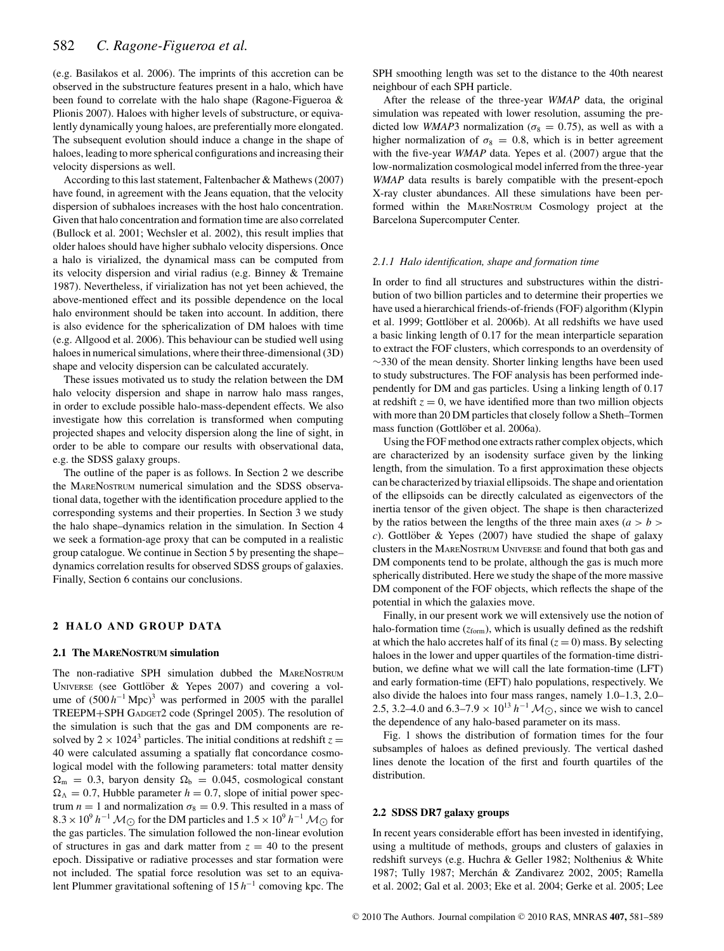(e.g. Basilakos et al. 2006). The imprints of this accretion can be observed in the substructure features present in a halo, which have been found to correlate with the halo shape (Ragone-Figueroa & Plionis 2007). Haloes with higher levels of substructure, or equivalently dynamically young haloes, are preferentially more elongated. The subsequent evolution should induce a change in the shape of haloes, leading to more spherical configurations and increasing their velocity dispersions as well.

According to this last statement, Faltenbacher & Mathews (2007) have found, in agreement with the Jeans equation, that the velocity dispersion of subhaloes increases with the host halo concentration. Given that halo concentration and formation time are also correlated (Bullock et al. 2001; Wechsler et al. 2002), this result implies that older haloes should have higher subhalo velocity dispersions. Once a halo is virialized, the dynamical mass can be computed from its velocity dispersion and virial radius (e.g. Binney & Tremaine 1987). Nevertheless, if virialization has not yet been achieved, the above-mentioned effect and its possible dependence on the local halo environment should be taken into account. In addition, there is also evidence for the sphericalization of DM haloes with time (e.g. Allgood et al. 2006). This behaviour can be studied well using haloes in numerical simulations, where their three-dimensional (3D) shape and velocity dispersion can be calculated accurately.

These issues motivated us to study the relation between the DM halo velocity dispersion and shape in narrow halo mass ranges, in order to exclude possible halo-mass-dependent effects. We also investigate how this correlation is transformed when computing projected shapes and velocity dispersion along the line of sight, in order to be able to compare our results with observational data, e.g. the SDSS galaxy groups.

The outline of the paper is as follows. In Section 2 we describe the MARENOSTRUM numerical simulation and the SDSS observational data, together with the identification procedure applied to the corresponding systems and their properties. In Section 3 we study the halo shape–dynamics relation in the simulation. In Section 4 we seek a formation-age proxy that can be computed in a realistic group catalogue. We continue in Section 5 by presenting the shape– dynamics correlation results for observed SDSS groups of galaxies. Finally, Section 6 contains our conclusions.

## **2 HALO AND GROUP DATA**

#### **2.1 The MARENOSTRUM simulation**

The non-radiative SPH simulation dubbed the MARENOSTRUM UNIVERSE (see Gottlöber & Yepes 2007) and covering a volume of  $(500 h^{-1} \text{ Mpc})^3$  was performed in 2005 with the parallel TREEPM+SPH GADGET2 code (Springel 2005). The resolution of the simulation is such that the gas and DM components are resolved by  $2 \times 1024^3$  particles. The initial conditions at redshift  $z =$ 40 were calculated assuming a spatially flat concordance cosmological model with the following parameters: total matter density  $\Omega_{\rm m} = 0.3$ , baryon density  $\Omega_{\rm b} = 0.045$ , cosmological constant  $\Omega_{\Lambda} = 0.7$ , Hubble parameter  $h = 0.7$ , slope of initial power spectrum  $n = 1$  and normalization  $\sigma_8 = 0.9$ . This resulted in a mass of  $8.3 \times 10^9$  *h*<sup>−1</sup> M<sub>(</sub> $\circ$ ) for the DM particles and  $1.5 \times 10^9$  *h*<sup>−1</sup> M<sub>( $\circ$ </sub>) for the gas particles. The simulation followed the non-linear evolution of structures in gas and dark matter from  $z = 40$  to the present epoch. Dissipative or radiative processes and star formation were not included. The spatial force resolution was set to an equivalent Plummer gravitational softening of 15 *h*−<sup>1</sup> comoving kpc. The

SPH smoothing length was set to the distance to the 40th nearest neighbour of each SPH particle.

After the release of the three-year *WMAP* data, the original simulation was repeated with lower resolution, assuming the predicted low *WMAP*3 normalization ( $\sigma_8 = 0.75$ ), as well as with a higher normalization of  $\sigma_8 = 0.8$ , which is in better agreement with the five-year *WMAP* data. Yepes et al. (2007) argue that the low-normalization cosmological model inferred from the three-year *WMAP* data results is barely compatible with the present-epoch X-ray cluster abundances. All these simulations have been performed within the MARENOSTRUM Cosmology project at the Barcelona Supercomputer Center.

#### *2.1.1 Halo identification, shape and formation time*

In order to find all structures and substructures within the distribution of two billion particles and to determine their properties we have used a hierarchical friends-of-friends (FOF) algorithm (Klypin et al. 1999; Gottlöber et al. 2006b). At all redshifts we have used a basic linking length of 0.17 for the mean interparticle separation to extract the FOF clusters, which corresponds to an overdensity of  $\sim$ 330 of the mean density. Shorter linking lengths have been used to study substructures. The FOF analysis has been performed independently for DM and gas particles. Using a linking length of 0.17 at redshift  $z = 0$ , we have identified more than two million objects with more than 20 DM particles that closely follow a Sheth–Tormen mass function (Gottlöber et al. 2006a).

Using the FOF method one extracts rather complex objects, which are characterized by an isodensity surface given by the linking length, from the simulation. To a first approximation these objects can be characterized by triaxial ellipsoids. The shape and orientation of the ellipsoids can be directly calculated as eigenvectors of the inertia tensor of the given object. The shape is then characterized by the ratios between the lengths of the three main axes  $(a > b > a)$ *c*). Gottlöber & Yepes (2007) have studied the shape of galaxy clusters in the MARENOSTRUM UNIVERSE and found that both gas and DM components tend to be prolate, although the gas is much more spherically distributed. Here we study the shape of the more massive DM component of the FOF objects, which reflects the shape of the potential in which the galaxies move.

Finally, in our present work we will extensively use the notion of halo-formation time  $(z<sub>form</sub>)$ , which is usually defined as the redshift at which the halo accretes half of its final  $(z = 0)$  mass. By selecting haloes in the lower and upper quartiles of the formation-time distribution, we define what we will call the late formation-time (LFT) and early formation-time (EFT) halo populations, respectively. We also divide the haloes into four mass ranges, namely 1.0–1.3, 2.0– 2.5, 3.2–4.0 and 6.3–7.9 ×  $10^{13} h^{-1}$  M<sub>(c)</sub>, since we wish to cancel the dependence of any halo-based parameter on its mass.

Fig. 1 shows the distribution of formation times for the four subsamples of haloes as defined previously. The vertical dashed lines denote the location of the first and fourth quartiles of the distribution.

#### **2.2 SDSS DR7 galaxy groups**

In recent years considerable effort has been invested in identifying, using a multitude of methods, groups and clusters of galaxies in redshift surveys (e.g. Huchra & Geller 1982; Nolthenius & White 1987; Tully 1987; Merchán & Zandivarez 2002, 2005; Ramella et al. 2002; Gal et al. 2003; Eke et al. 2004; Gerke et al. 2005; Lee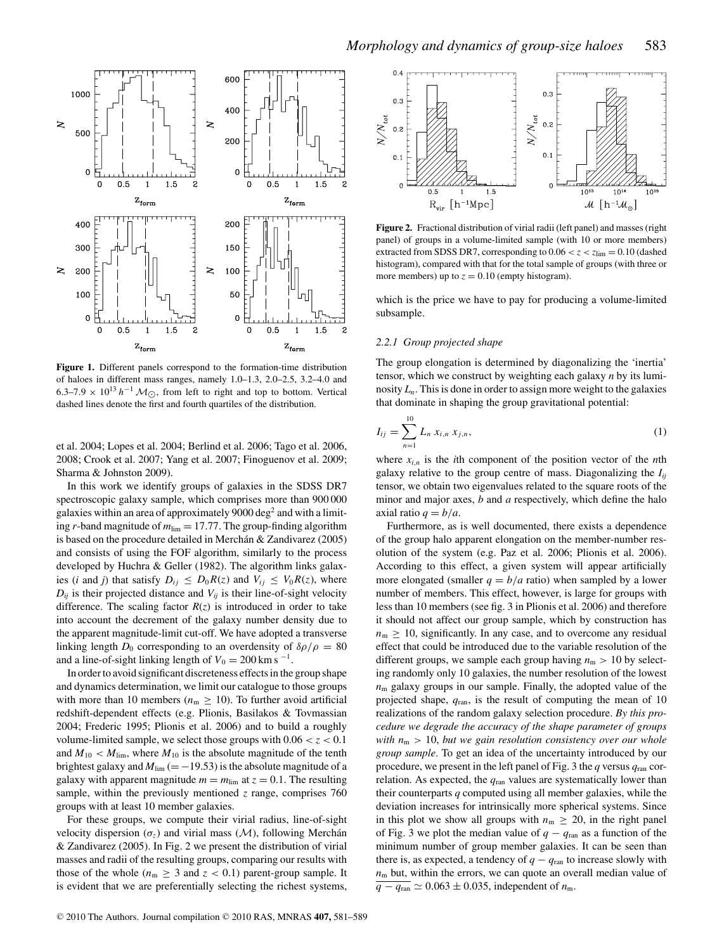

 $0.4$ 



*Morphology and dynamics of group-size haloes* 583

**Figure 2.** Fractional distribution of virial radii (left panel) and masses (right panel) of groups in a volume-limited sample (with 10 or more members) extracted from SDSS DR7, corresponding to  $0.06 < z < z_{\text{lim}} = 0.10$  (dashed histogram), compared with that for the total sample of groups (with three or more members) up to  $z = 0.10$  (empty histogram).

which is the price we have to pay for producing a volume-limited subsample.

#### *2.2.1 Group projected shape*

The group elongation is determined by diagonalizing the 'inertia' tensor, which we construct by weighting each galaxy *n* by its luminosity  $L_n$ . This is done in order to assign more weight to the galaxies that dominate in shaping the group gravitational potential:

$$
I_{ij} = \sum_{n=1}^{10} L_n x_{i,n} x_{j,n}, \qquad (1)
$$

where  $x_{i,n}$  is the *i*th component of the position vector of the *n*th galaxy relative to the group centre of mass. Diagonalizing the  $I_{ij}$ tensor, we obtain two eigenvalues related to the square roots of the minor and major axes, *b* and *a* respectively, which define the halo axial ratio  $q = b/a$ .

Furthermore, as is well documented, there exists a dependence of the group halo apparent elongation on the member-number resolution of the system (e.g. Paz et al. 2006; Plionis et al. 2006). According to this effect, a given system will appear artificially more elongated (smaller  $q = b/a$  ratio) when sampled by a lower number of members. This effect, however, is large for groups with less than 10 members (see fig. 3 in Plionis et al. 2006) and therefore it should not affect our group sample, which by construction has  $n_m \geq 10$ , significantly. In any case, and to overcome any residual effect that could be introduced due to the variable resolution of the different groups, we sample each group having  $n_m > 10$  by selecting randomly only 10 galaxies, the number resolution of the lowest *n*<sup>m</sup> galaxy groups in our sample. Finally, the adopted value of the projected shape, *q*ran, is the result of computing the mean of 10 realizations of the random galaxy selection procedure. *By this procedure we degrade the accuracy of the shape parameter of groups with n*<sup>m</sup> *>* 10, *but we gain resolution consistency over our whole group sample*. To get an idea of the uncertainty introduced by our procedure, we present in the left panel of Fig. 3 the *q* versus *q*ran correlation. As expected, the *q*ran values are systematically lower than their counterparts *q* computed using all member galaxies, while the deviation increases for intrinsically more spherical systems. Since in this plot we show all groups with  $n_m \geq 20$ , in the right panel of Fig. 3 we plot the median value of *q* − *q*ran as a function of the minimum number of group member galaxies. It can be seen than there is, as expected, a tendency of  $q - q_{\text{ran}}$  to increase slowly with  $n<sub>m</sub>$  but, within the errors, we can quote an overall median value of  $\overline{q - q_{\text{ran}}} \simeq 0.063 \pm 0.035$ , independent of  $n_{\text{m}}$ .

**Figure 1.** Different panels correspond to the formation-time distribution of haloes in different mass ranges, namely 1.0–1.3, 2.0–2.5, 3.2–4.0 and 6.3–7.9 × 10<sup>13</sup>  $h^{-1}$   $M$ <sub>○</sub>, from left to right and top to bottom. Vertical dashed lines denote the first and fourth quartiles of the distribution.

et al. 2004; Lopes et al. 2004; Berlind et al. 2006; Tago et al. 2006, 2008; Crook et al. 2007; Yang et al. 2007; Finoguenov et al. 2009; Sharma & Johnston 2009).

In this work we identify groups of galaxies in the SDSS DR7 spectroscopic galaxy sample, which comprises more than 900 000 galaxies within an area of approximately 9000 deg<sup>2</sup> and with a limiting *r*-band magnitude of  $m_{\text{lim}} = 17.77$ . The group-finding algorithm is based on the procedure detailed in Merchan  $&$  Zandivarez (2005) and consists of using the FOF algorithm, similarly to the process developed by Huchra & Geller (1982). The algorithm links galaxies (*i* and *j*) that satisfy  $D_{ij} \leq D_0 R(z)$  and  $V_{ij} \leq V_0 R(z)$ , where  $D_{ij}$  is their projected distance and  $V_{ij}$  is their line-of-sight velocity difference. The scaling factor  $R(z)$  is introduced in order to take into account the decrement of the galaxy number density due to the apparent magnitude-limit cut-off. We have adopted a transverse linking length  $D_0$  corresponding to an overdensity of  $\delta \rho / \rho = 80$ and a line-of-sight linking length of  $V_0 = 200$  km s<sup>-1</sup>.

In order to avoid significant discreteness effects in the group shape and dynamics determination, we limit our catalogue to those groups with more than 10 members ( $n_m \geq 10$ ). To further avoid artificial redshift-dependent effects (e.g. Plionis, Basilakos & Tovmassian 2004; Frederic 1995; Plionis et al. 2006) and to build a roughly volume-limited sample, we select those groups with  $0.06 < z < 0.1$ and  $M_{10} < M_{\text{lim}}$ , where  $M_{10}$  is the absolute magnitude of the tenth brightest galaxy and  $M_{\text{lim}}$  (= -19.53) is the absolute magnitude of a galaxy with apparent magnitude  $m = m_{\text{lim}}$  at  $z = 0.1$ . The resulting sample, within the previously mentioned *z* range, comprises 760 groups with at least 10 member galaxies.

For these groups, we compute their virial radius, line-of-sight velocity dispersion  $(\sigma_z)$  and virial mass  $(\mathcal{M})$ , following Merchan & Zandivarez (2005). In Fig. 2 we present the distribution of virial masses and radii of the resulting groups, comparing our results with those of the whole ( $n_m \geq 3$  and  $z < 0.1$ ) parent-group sample. It is evident that we are preferentially selecting the richest systems,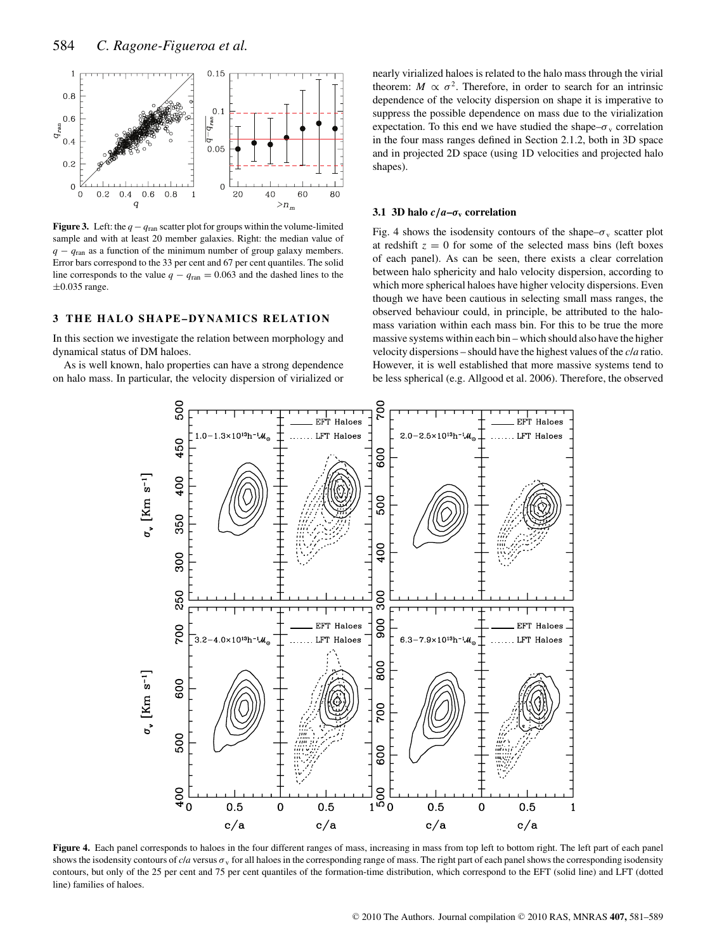

**Figure 3.** Left: the  $q - q_{\text{ran}}$  scatter plot for groups within the volume-limited sample and with at least 20 member galaxies. Right: the median value of *q* − *q*<sub>ran</sub> as a function of the minimum number of group galaxy members. Error bars correspond to the 33 per cent and 67 per cent quantiles. The solid line corresponds to the value  $q - q_{\text{ran}} = 0.063$  and the dashed lines to the ±0*.*035 range.

# **3 THE HALO SHAPE–DYNAMICS RELATION**

In this section we investigate the relation between morphology and dynamical status of DM haloes.

As is well known, halo properties can have a strong dependence on halo mass. In particular, the velocity dispersion of virialized or

nearly virialized haloes is related to the halo mass through the virial theorem:  $M \propto \sigma^2$ . Therefore, in order to search for an intrinsic dependence of the velocity dispersion on shape it is imperative to suppress the possible dependence on mass due to the virialization expectation. To this end we have studied the shape– $\sigma_v$  correlation in the four mass ranges defined in Section 2.1.2, both in 3D space and in projected 2D space (using 1D velocities and projected halo shapes).

#### **3.1 3D halo**  $c/a - \sigma_v$  correlation

Fig. 4 shows the isodensity contours of the shape– $\sigma_v$  scatter plot at redshift  $z = 0$  for some of the selected mass bins (left boxes of each panel). As can be seen, there exists a clear correlation between halo sphericity and halo velocity dispersion, according to which more spherical haloes have higher velocity dispersions. Even though we have been cautious in selecting small mass ranges, the observed behaviour could, in principle, be attributed to the halomass variation within each mass bin. For this to be true the more massive systems within each bin – which should also have the higher velocity dispersions – should have the highest values of the *c*/*a* ratio. However, it is well established that more massive systems tend to be less spherical (e.g. Allgood et al. 2006). Therefore, the observed



Figure 4. Each panel corresponds to haloes in the four different ranges of mass, increasing in mass from top left to bottom right. The left part of each panel shows the isodensity contours of *cla* versus  $\sigma_y$  for all haloes in the corresponding range of mass. The right part of each panel shows the corresponding isodensity contours, but only of the 25 per cent and 75 per cent quantiles of the formation-time distribution, which correspond to the EFT (solid line) and LFT (dotted line) families of haloes.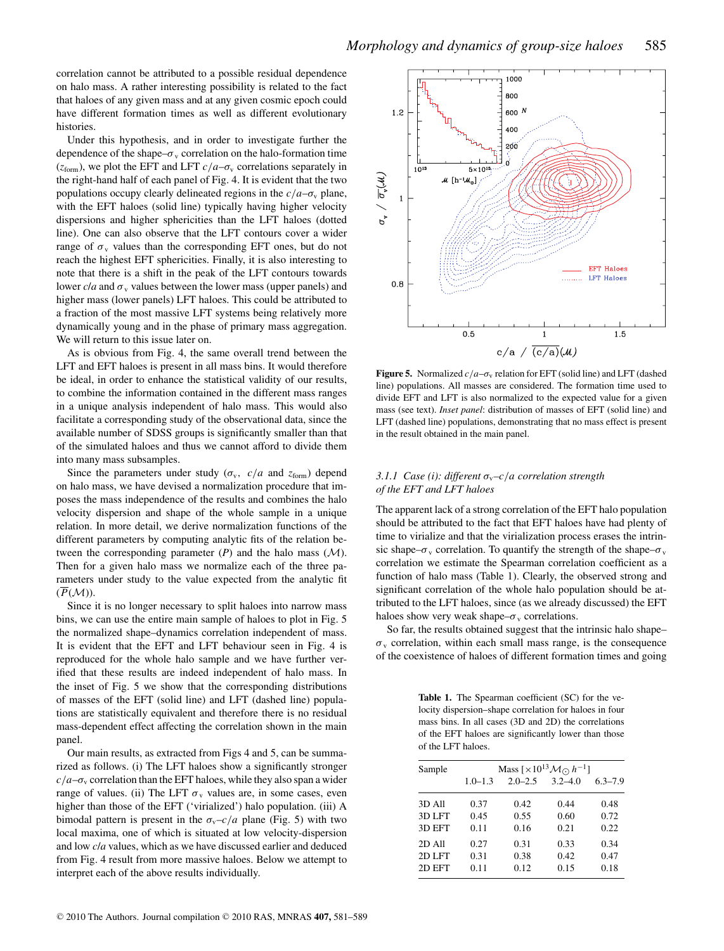correlation cannot be attributed to a possible residual dependence on halo mass. A rather interesting possibility is related to the fact that haloes of any given mass and at any given cosmic epoch could have different formation times as well as different evolutionary histories.

Under this hypothesis, and in order to investigate further the dependence of the shape– $\sigma_{\rm v}$  correlation on the halo-formation time  $(z<sub>form</sub>)$ , we plot the EFT and LFT  $c/a-\sigma_v$  correlations separately in the right-hand half of each panel of Fig. 4. It is evident that the two populations occupy clearly delineated regions in the  $c/a - \sigma_v$  plane, with the EFT haloes (solid line) typically having higher velocity dispersions and higher sphericities than the LFT haloes (dotted line). One can also observe that the LFT contours cover a wider range of  $\sigma$ <sub>v</sub> values than the corresponding EFT ones, but do not reach the highest EFT sphericities. Finally, it is also interesting to note that there is a shift in the peak of the LFT contours towards lower  $c/a$  and  $\sigma$ <sub>v</sub> values between the lower mass (upper panels) and higher mass (lower panels) LFT haloes. This could be attributed to a fraction of the most massive LFT systems being relatively more dynamically young and in the phase of primary mass aggregation. We will return to this issue later on.

As is obvious from Fig. 4, the same overall trend between the LFT and EFT haloes is present in all mass bins. It would therefore be ideal, in order to enhance the statistical validity of our results, to combine the information contained in the different mass ranges in a unique analysis independent of halo mass. This would also facilitate a corresponding study of the observational data, since the available number of SDSS groups is significantly smaller than that of the simulated haloes and thus we cannot afford to divide them into many mass subsamples.

Since the parameters under study ( $\sigma_v$ ,  $c/a$  and  $z_{form}$ ) depend on halo mass, we have devised a normalization procedure that imposes the mass independence of the results and combines the halo velocity dispersion and shape of the whole sample in a unique relation. In more detail, we derive normalization functions of the different parameters by computing analytic fits of the relation between the corresponding parameter  $(P)$  and the halo mass  $(M)$ . Then for a given halo mass we normalize each of the three parameters under study to the value expected from the analytic fit  $(\overline{P}(\mathcal{M}))$ .

Since it is no longer necessary to split haloes into narrow mass bins, we can use the entire main sample of haloes to plot in Fig. 5 the normalized shape–dynamics correlation independent of mass. It is evident that the EFT and LFT behaviour seen in Fig. 4 is reproduced for the whole halo sample and we have further verified that these results are indeed independent of halo mass. In the inset of Fig. 5 we show that the corresponding distributions of masses of the EFT (solid line) and LFT (dashed line) populations are statistically equivalent and therefore there is no residual mass-dependent effect affecting the correlation shown in the main panel.

Our main results, as extracted from Figs 4 and 5, can be summarized as follows. (i) The LFT haloes show a significantly stronger  $c/a-\sigma_v$  correlation than the EFT haloes, while they also span a wider range of values. (ii) The LFT  $\sigma_v$  values are, in some cases, even higher than those of the EFT ('virialized') halo population. (iii) A bimodal pattern is present in the  $\sigma_v - c/a$  plane (Fig. 5) with two local maxima, one of which is situated at low velocity-dispersion and low *c*/*a* values, which as we have discussed earlier and deduced from Fig. 4 result from more massive haloes. Below we attempt to interpret each of the above results individually.



**Figure 5.** Normalized  $c/a - \sigma_v$  relation for EFT (solid line) and LFT (dashed line) populations. All masses are considered. The formation time used to divide EFT and LFT is also normalized to the expected value for a given mass (see text). *Inset panel*: distribution of masses of EFT (solid line) and LFT (dashed line) populations, demonstrating that no mass effect is present in the result obtained in the main panel.

## *3.1.1 Case (i): different σ*v*–c/a correlation strength of the EFT and LFT haloes*

The apparent lack of a strong correlation of the EFT halo population should be attributed to the fact that EFT haloes have had plenty of time to virialize and that the virialization process erases the intrinsic shape– $\sigma_v$  correlation. To quantify the strength of the shape– $\sigma_v$ correlation we estimate the Spearman correlation coefficient as a function of halo mass (Table 1). Clearly, the observed strong and significant correlation of the whole halo population should be attributed to the LFT haloes, since (as we already discussed) the EFT haloes show very weak shape– $\sigma_{v}$  correlations.

So far, the results obtained suggest that the intrinsic halo shape–  $\sigma$ <sub>v</sub> correlation, within each small mass range, is the consequence of the coexistence of haloes of different formation times and going

**Table 1.** The Spearman coefficient (SC) for the velocity dispersion–shape correlation for haloes in four mass bins. In all cases (3D and 2D) the correlations of the EFT haloes are significantly lower than those of the LFT haloes.

| Sample | Mass $[\times 10^{13} M_{\odot} h^{-1}]$ |             |             |             |
|--------|------------------------------------------|-------------|-------------|-------------|
|        | $1.0 - 1.3$                              | $2.0 - 2.5$ | $3.2 - 4.0$ | $6.3 - 7.9$ |
| 3D All | 0.37                                     | 0.42        | 0.44        | 0.48        |
| 3D LFT | 0.45                                     | 0.55        | 0.60        | 0.72        |
| 3D EFT | 0.11                                     | 0.16        | 0.21        | 0.22        |
| 2D All | 0.27                                     | 0.31        | 0.33        | 0.34        |
| 2D LFT | 0.31                                     | 0.38        | 0.42        | 0.47        |
| 2D EFT | 0.11                                     | 0.12        | 0.15        | 0.18        |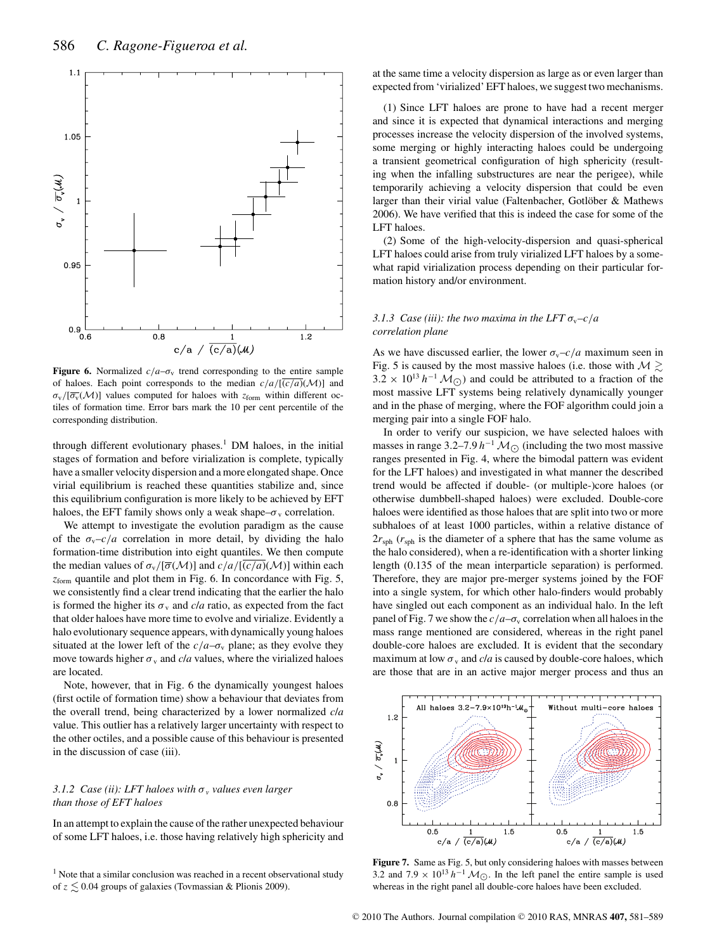

**Figure 6.** Normalized  $c/a - \sigma_v$  trend corresponding to the entire sample of haloes. Each point corresponds to the median  $c/a/[\overline{(c/a)}(\mathcal{M})]$  and  $\sigma$ <sup>v</sup>/[ $\sigma$ <sup>v</sup>/(M)] values computed for haloes with *z*<sub>form</sub> within different octiles of formation time. Error bars mark the 10 per cent percentile of the corresponding distribution.

through different evolutionary phases.<sup>1</sup> DM haloes, in the initial stages of formation and before virialization is complete, typically have a smaller velocity dispersion and a more elongated shape. Once virial equilibrium is reached these quantities stabilize and, since this equilibrium configuration is more likely to be achieved by EFT haloes, the EFT family shows only a weak shape– $\sigma_v$  correlation.

We attempt to investigate the evolution paradigm as the cause of the  $\sigma_{v}-c/a$  correlation in more detail, by dividing the halo formation-time distribution into eight quantiles. We then compute the median values of  $\sigma_{\rm v}/[\overline{\sigma}(\mathcal{M})]$  and  $c/a/[\overline{(c/a)}(\mathcal{M})]$  within each *z*form quantile and plot them in Fig. 6. In concordance with Fig. 5, we consistently find a clear trend indicating that the earlier the halo is formed the higher its  $\sigma_v$  and *c/a* ratio, as expected from the fact that older haloes have more time to evolve and virialize. Evidently a halo evolutionary sequence appears, with dynamically young haloes situated at the lower left of the  $c/a-\sigma_v$  plane; as they evolve they move towards higher  $\sigma$ <sub>v</sub> and *c/a* values, where the virialized haloes are located.

Note, however, that in Fig. 6 the dynamically youngest haloes (first octile of formation time) show a behaviour that deviates from the overall trend, being characterized by a lower normalized *c*/*a* value. This outlier has a relatively larger uncertainty with respect to the other octiles, and a possible cause of this behaviour is presented in the discussion of case (iii).

## *3.1.2 Case (ii): LFT haloes with σ<sup>v</sup> values even larger than those of EFT haloes*

In an attempt to explain the cause of the rather unexpected behaviour of some LFT haloes, i.e. those having relatively high sphericity and

at the same time a velocity dispersion as large as or even larger than expected from 'virialized' EFT haloes, we suggest two mechanisms.

(1) Since LFT haloes are prone to have had a recent merger and since it is expected that dynamical interactions and merging processes increase the velocity dispersion of the involved systems, some merging or highly interacting haloes could be undergoing a transient geometrical configuration of high sphericity (resulting when the infalling substructures are near the perigee), while temporarily achieving a velocity dispersion that could be even larger than their virial value (Faltenbacher, Gotlöber & Mathews 2006). We have verified that this is indeed the case for some of the LFT haloes.

(2) Some of the high-velocity-dispersion and quasi-spherical LFT haloes could arise from truly virialized LFT haloes by a somewhat rapid virialization process depending on their particular formation history and/or environment.

#### *3.1.3 Case (iii): the two maxima in the LFT*  $\sigma_y$ – $c/a$ *correlation plane*

As we have discussed earlier, the lower  $\sigma_{v}$ –*c/a* maximum seen in Fig. 5 is caused by the most massive haloes (i.e. those with  $M \gtrsim$  $3.2 \times 10^{13} h^{-1}$  M<sub>(c)</sub>) and could be attributed to a fraction of the most massive LFT systems being relatively dynamically younger and in the phase of merging, where the FOF algorithm could join a merging pair into a single FOF halo.

In order to verify our suspicion, we have selected haloes with masses in range  $3.2-7.9 h^{-1} \mathcal{M}_{\odot}$  (including the two most massive ranges presented in Fig. 4, where the bimodal pattern was evident for the LFT haloes) and investigated in what manner the described trend would be affected if double- (or multiple-)core haloes (or otherwise dumbbell-shaped haloes) were excluded. Double-core haloes were identified as those haloes that are split into two or more subhaloes of at least 1000 particles, within a relative distance of  $2r_{\rm sph}$  ( $r_{\rm sph}$  is the diameter of a sphere that has the same volume as the halo considered), when a re-identification with a shorter linking length (0.135 of the mean interparticle separation) is performed. Therefore, they are major pre-merger systems joined by the FOF into a single system, for which other halo-finders would probably have singled out each component as an individual halo. In the left panel of Fig. 7 we show the  $c/a - \sigma_v$  correlation when all haloes in the mass range mentioned are considered, whereas in the right panel double-core haloes are excluded. It is evident that the secondary maximum at low  $\sigma$ <sub>v</sub> and *c*/*a* is caused by double-core haloes, which are those that are in an active major merger process and thus an



**Figure 7.** Same as Fig. 5, but only considering haloes with masses between 3.2 and  $7.9 \times 10^{13} h^{-1} \text{M}_{\odot}$ . In the left panel the entire sample is used whereas in the right panel all double-core haloes have been excluded.

© 2010 The Authors. Journal compilation © 2010 RAS, MNRAS 407, 581-589

<sup>&</sup>lt;sup>1</sup> Note that a similar conclusion was reached in a recent observational study of  $z \lesssim 0.04$  groups of galaxies (Tovmassian & Plionis 2009).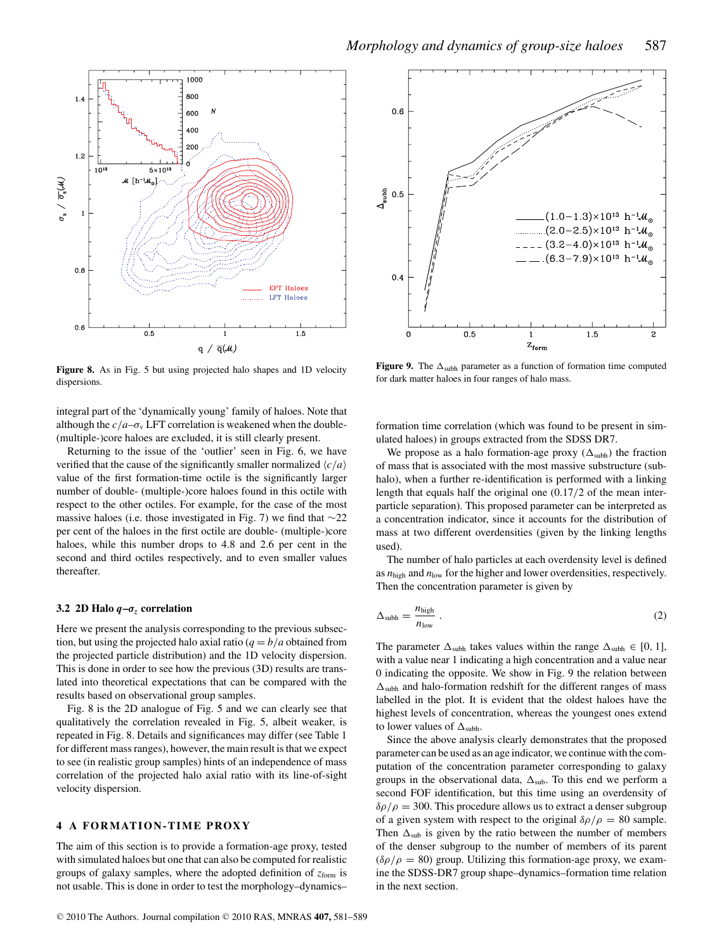

**Figure 8.** As in Fig. 5 but using projected halo shapes and 1D velocity dispersions.

integral part of the 'dynamically young' family of haloes. Note that although the  $c/a - \sigma_v$  LFT correlation is weakened when the double-(multiple-)core haloes are excluded, it is still clearly present.

Returning to the issue of the 'outlier' seen in Fig. 6, we have verified that the cause of the significantly smaller normalized  $\langle c/a \rangle$ value of the first formation-time octile is the significantly larger number of double- (multiple-)core haloes found in this octile with respect to the other octiles. For example, for the case of the most massive haloes (i.e. those investigated in Fig. 7) we find that ∼22 per cent of the haloes in the first octile are double- (multiple-)core haloes, while this number drops to 4.8 and 2.6 per cent in the second and third octiles respectively, and to even smaller values thereafter.

#### **3.2 2D Halo** *q***–***σ<sup>z</sup>* **correlation**

Here we present the analysis corresponding to the previous subsection, but using the projected halo axial ratio  $(q = b/a)$  obtained from the projected particle distribution) and the 1D velocity dispersion. This is done in order to see how the previous (3D) results are translated into theoretical expectations that can be compared with the results based on observational group samples.

Fig. 8 is the 2D analogue of Fig. 5 and we can clearly see that qualitatively the correlation revealed in Fig. 5, albeit weaker, is repeated in Fig. 8. Details and significances may differ (see Table 1 for different mass ranges), however, the main result is that we expect to see (in realistic group samples) hints of an independence of mass correlation of the projected halo axial ratio with its line-of-sight velocity dispersion.

## **4 A FORMATION -TIME PROXY**

The aim of this section is to provide a formation-age proxy, tested with simulated haloes but one that can also be computed for realistic groups of galaxy samples, where the adopted definition of  $z<sub>form</sub>$  is not usable. This is done in order to test the morphology–dynamics–



**Figure 9.** The  $\Delta$ <sub>subh</sub> parameter as a function of formation time computed for dark matter haloes in four ranges of halo mass.

formation time correlation (which was found to be present in simulated haloes) in groups extracted from the SDSS DR7.

We propose as a halo formation-age proxy ( $\Delta_{subh}$ ) the fraction of mass that is associated with the most massive substructure (subhalo), when a further re-identification is performed with a linking length that equals half the original one (0.17*/*2 of the mean interparticle separation). This proposed parameter can be interpreted as a concentration indicator, since it accounts for the distribution of mass at two different overdensities (given by the linking lengths used).

The number of halo particles at each overdensity level is defined as *n*high and *n*low for the higher and lower overdensities, respectively. Then the concentration parameter is given by

$$
\Delta_{\text{subh}} = \frac{n_{\text{high}}}{n_{\text{low}}} \tag{2}
$$

The parameter  $\Delta_{\text{subh}}$  takes values within the range  $\Delta_{\text{subh}} \in [0, 1]$ , with a value near 1 indicating a high concentration and a value near 0 indicating the opposite. We show in Fig. 9 the relation between  $\Delta$ <sub>subh</sub> and halo-formation redshift for the different ranges of mass labelled in the plot. It is evident that the oldest haloes have the highest levels of concentration, whereas the youngest ones extend to lower values of  $\Delta_{\text{subh}}$ .

Since the above analysis clearly demonstrates that the proposed parameter can be used as an age indicator, we continue with the computation of the concentration parameter corresponding to galaxy groups in the observational data,  $\Delta_{sub}$ . To this end we perform a second FOF identification, but this time using an overdensity of  $\delta\rho/\rho = 300$ . This procedure allows us to extract a denser subgroup of a given system with respect to the original  $\delta \rho / \rho = 80$  sample. Then  $\Delta_{sub}$  is given by the ratio between the number of members of the denser subgroup to the number of members of its parent  $(\delta \rho / \rho = 80)$  group. Utilizing this formation-age proxy, we examine the SDSS-DR7 group shape–dynamics–formation time relation in the next section.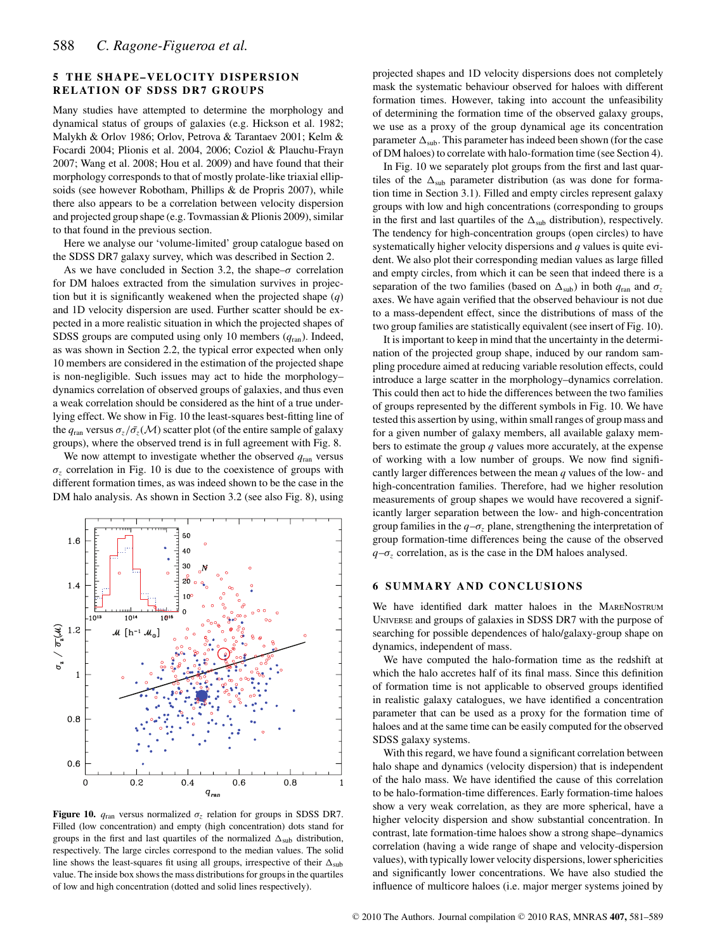# **5 THE SHAPE–VELOCITY DISPERSION RELATION OF SDSS DR7 GROUPS**

Many studies have attempted to determine the morphology and dynamical status of groups of galaxies (e.g. Hickson et al. 1982; Malykh & Orlov 1986; Orlov, Petrova & Tarantaev 2001; Kelm & Focardi 2004; Plionis et al. 2004, 2006; Coziol & Plauchu-Frayn 2007; Wang et al. 2008; Hou et al. 2009) and have found that their morphology corresponds to that of mostly prolate-like triaxial ellipsoids (see however Robotham, Phillips & de Propris 2007), while there also appears to be a correlation between velocity dispersion and projected group shape (e.g. Tovmassian & Plionis 2009), similar to that found in the previous section.

Here we analyse our 'volume-limited' group catalogue based on the SDSS DR7 galaxy survey, which was described in Section 2.

As we have concluded in Section 3.2, the shape–*σ* correlation for DM haloes extracted from the simulation survives in projection but it is significantly weakened when the projected shape (*q*) and 1D velocity dispersion are used. Further scatter should be expected in a more realistic situation in which the projected shapes of SDSS groups are computed using only 10 members (*q*ran). Indeed, as was shown in Section 2.2, the typical error expected when only 10 members are considered in the estimation of the projected shape is non-negligible. Such issues may act to hide the morphology– dynamics correlation of observed groups of galaxies, and thus even a weak correlation should be considered as the hint of a true underlying effect. We show in Fig. 10 the least-squares best-fitting line of the  $q_{\text{ran}}$  versus  $\sigma_z/\bar{\sigma_z}(M)$  scatter plot (of the entire sample of galaxy groups), where the observed trend is in full agreement with Fig. 8.

We now attempt to investigate whether the observed  $q<sub>ran</sub>$  versus *σz* correlation in Fig. 10 is due to the coexistence of groups with different formation times, as was indeed shown to be the case in the DM halo analysis. As shown in Section 3.2 (see also Fig. 8), using



**Figure 10.**  $q_{\text{ran}}$  versus normalized  $\sigma_z$  relation for groups in SDSS DR7. Filled (low concentration) and empty (high concentration) dots stand for groups in the first and last quartiles of the normalized  $\Delta_{sub}$  distribution, respectively. The large circles correspond to the median values. The solid line shows the least-squares fit using all groups, irrespective of their  $\Delta_{sub}$ value. The inside box shows the mass distributions for groups in the quartiles of low and high concentration (dotted and solid lines respectively).

projected shapes and 1D velocity dispersions does not completely mask the systematic behaviour observed for haloes with different formation times. However, taking into account the unfeasibility of determining the formation time of the observed galaxy groups, we use as a proxy of the group dynamical age its concentration parameter  $\Delta_{sub}$ . This parameter has indeed been shown (for the case of DM haloes) to correlate with halo-formation time (see Section 4).

In Fig. 10 we separately plot groups from the first and last quartiles of the  $\Delta_{sub}$  parameter distribution (as was done for formation time in Section 3.1). Filled and empty circles represent galaxy groups with low and high concentrations (corresponding to groups in the first and last quartiles of the  $\Delta_{sub}$  distribution), respectively. The tendency for high-concentration groups (open circles) to have systematically higher velocity dispersions and *q* values is quite evident. We also plot their corresponding median values as large filled and empty circles, from which it can be seen that indeed there is a separation of the two families (based on  $\Delta_{sub}$ ) in both  $q_{ran}$  and  $\sigma_z$ axes. We have again verified that the observed behaviour is not due to a mass-dependent effect, since the distributions of mass of the two group families are statistically equivalent (see insert of Fig. 10).

It is important to keep in mind that the uncertainty in the determination of the projected group shape, induced by our random sampling procedure aimed at reducing variable resolution effects, could introduce a large scatter in the morphology–dynamics correlation. This could then act to hide the differences between the two families of groups represented by the different symbols in Fig. 10. We have tested this assertion by using, within small ranges of group mass and for a given number of galaxy members, all available galaxy members to estimate the group *q* values more accurately, at the expense of working with a low number of groups. We now find significantly larger differences between the mean *q* values of the low- and high-concentration families. Therefore, had we higher resolution measurements of group shapes we would have recovered a significantly larger separation between the low- and high-concentration group families in the  $q-\sigma_z$  plane, strengthening the interpretation of group formation-time differences being the cause of the observed  $q-\sigma_z$  correlation, as is the case in the DM haloes analysed.

## **6 SUMMARY AND CONCLUSIONS**

We have identified dark matter haloes in the MARENOSTRUM UNIVERSE and groups of galaxies in SDSS DR7 with the purpose of searching for possible dependences of halo/galaxy-group shape on dynamics, independent of mass.

We have computed the halo-formation time as the redshift at which the halo accretes half of its final mass. Since this definition of formation time is not applicable to observed groups identified in realistic galaxy catalogues, we have identified a concentration parameter that can be used as a proxy for the formation time of haloes and at the same time can be easily computed for the observed SDSS galaxy systems.

With this regard, we have found a significant correlation between halo shape and dynamics (velocity dispersion) that is independent of the halo mass. We have identified the cause of this correlation to be halo-formation-time differences. Early formation-time haloes show a very weak correlation, as they are more spherical, have a higher velocity dispersion and show substantial concentration. In contrast, late formation-time haloes show a strong shape–dynamics correlation (having a wide range of shape and velocity-dispersion values), with typically lower velocity dispersions, lower sphericities and significantly lower concentrations. We have also studied the influence of multicore haloes (i.e. major merger systems joined by